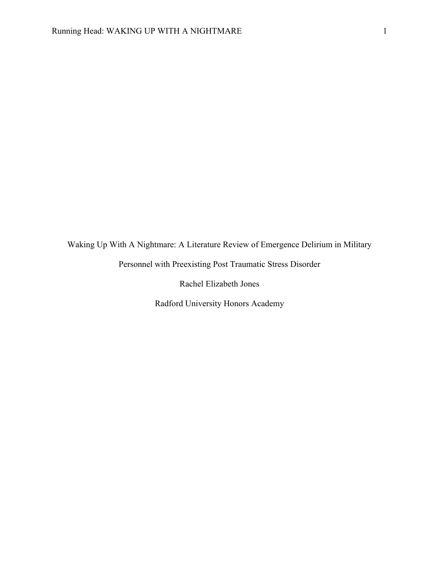Waking Up With A Nightmare: A Literature Review of Emergence Delirium in Military

Personnel with Preexisting Post Traumatic Stress Disorder

Rachel Elizabeth Jones

Radford University Honors Academy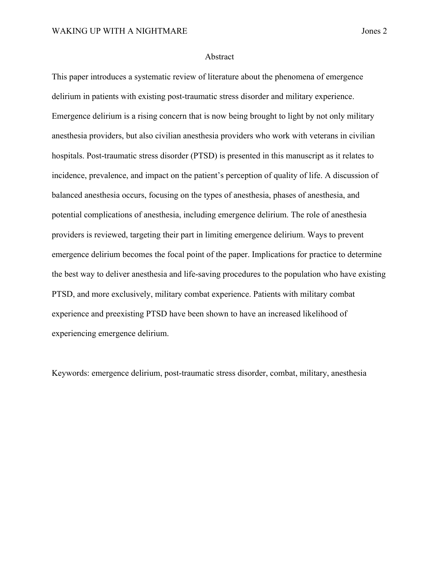#### Abstract

This paper introduces a systematic review of literature about the phenomena of emergence delirium in patients with existing post-traumatic stress disorder and military experience. Emergence delirium is a rising concern that is now being brought to light by not only military anesthesia providers, but also civilian anesthesia providers who work with veterans in civilian hospitals. Post-traumatic stress disorder (PTSD) is presented in this manuscript as it relates to incidence, prevalence, and impact on the patient's perception of quality of life. A discussion of balanced anesthesia occurs, focusing on the types of anesthesia, phases of anesthesia, and potential complications of anesthesia, including emergence delirium. The role of anesthesia providers is reviewed, targeting their part in limiting emergence delirium. Ways to prevent emergence delirium becomes the focal point of the paper. Implications for practice to determine the best way to deliver anesthesia and life-saving procedures to the population who have existing PTSD, and more exclusively, military combat experience. Patients with military combat experience and preexisting PTSD have been shown to have an increased likelihood of experiencing emergence delirium.

Keywords: emergence delirium, post-traumatic stress disorder, combat, military, anesthesia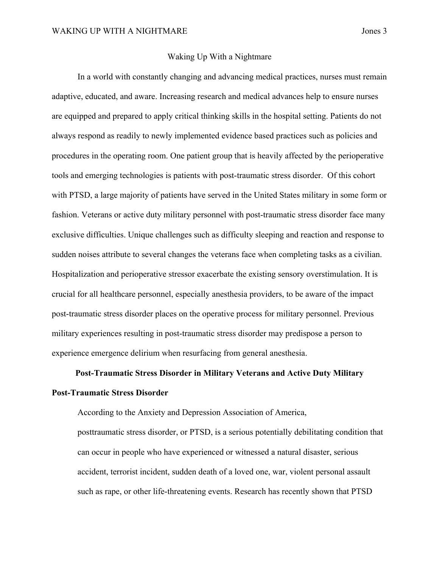#### Waking Up With a Nightmare

In a world with constantly changing and advancing medical practices, nurses must remain adaptive, educated, and aware. Increasing research and medical advances help to ensure nurses are equipped and prepared to apply critical thinking skills in the hospital setting. Patients do not always respond as readily to newly implemented evidence based practices such as policies and procedures in the operating room. One patient group that is heavily affected by the perioperative tools and emerging technologies is patients with post-traumatic stress disorder. Of this cohort with PTSD, a large majority of patients have served in the United States military in some form or fashion. Veterans or active duty military personnel with post-traumatic stress disorder face many exclusive difficulties. Unique challenges such as difficulty sleeping and reaction and response to sudden noises attribute to several changes the veterans face when completing tasks as a civilian. Hospitalization and perioperative stressor exacerbate the existing sensory overstimulation. It is crucial for all healthcare personnel, especially anesthesia providers, to be aware of the impact post-traumatic stress disorder places on the operative process for military personnel. Previous military experiences resulting in post-traumatic stress disorder may predispose a person to experience emergence delirium when resurfacing from general anesthesia.

# **Post-Traumatic Stress Disorder in Military Veterans and Active Duty Military Post-Traumatic Stress Disorder**

According to the Anxiety and Depression Association of America,

posttraumatic stress disorder, or PTSD, is a serious potentially debilitating condition that can occur in people who have experienced or witnessed a natural disaster, serious accident, terrorist incident, sudden death of a loved one, war, violent personal assault such as rape, or other life-threatening events. Research has recently shown that PTSD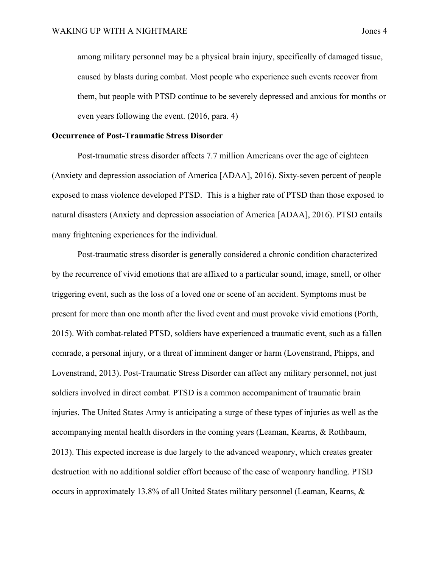among military personnel may be a physical brain injury, specifically of damaged tissue, caused by blasts during combat. Most people who experience such events recover from them, but people with PTSD continue to be severely depressed and anxious for months or even years following the event. (2016, para. 4)

#### **Occurrence of Post-Traumatic Stress Disorder**

Post-traumatic stress disorder affects 7.7 million Americans over the age of eighteen (Anxiety and depression association of America [ADAA], 2016). Sixty-seven percent of people exposed to mass violence developed PTSD. This is a higher rate of PTSD than those exposed to natural disasters (Anxiety and depression association of America [ADAA], 2016). PTSD entails many frightening experiences for the individual.

Post-traumatic stress disorder is generally considered a chronic condition characterized by the recurrence of vivid emotions that are affixed to a particular sound, image, smell, or other triggering event, such as the loss of a loved one or scene of an accident. Symptoms must be present for more than one month after the lived event and must provoke vivid emotions (Porth, 2015). With combat-related PTSD, soldiers have experienced a traumatic event, such as a fallen comrade, a personal injury, or a threat of imminent danger or harm (Lovenstrand, Phipps, and Lovenstrand, 2013). Post-Traumatic Stress Disorder can affect any military personnel, not just soldiers involved in direct combat. PTSD is a common accompaniment of traumatic brain injuries. The United States Army is anticipating a surge of these types of injuries as well as the accompanying mental health disorders in the coming years (Leaman, Kearns, & Rothbaum, 2013). This expected increase is due largely to the advanced weaponry, which creates greater destruction with no additional soldier effort because of the ease of weaponry handling. PTSD occurs in approximately 13.8% of all United States military personnel (Leaman, Kearns, &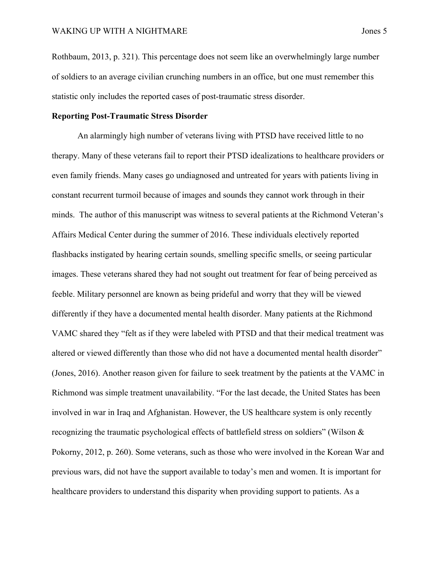Rothbaum, 2013, p. 321). This percentage does not seem like an overwhelmingly large number of soldiers to an average civilian crunching numbers in an office, but one must remember this statistic only includes the reported cases of post-traumatic stress disorder.

## **Reporting Post-Traumatic Stress Disorder**

An alarmingly high number of veterans living with PTSD have received little to no therapy. Many of these veterans fail to report their PTSD idealizations to healthcare providers or even family friends. Many cases go undiagnosed and untreated for years with patients living in constant recurrent turmoil because of images and sounds they cannot work through in their minds. The author of this manuscript was witness to several patients at the Richmond Veteran's Affairs Medical Center during the summer of 2016. These individuals electively reported flashbacks instigated by hearing certain sounds, smelling specific smells, or seeing particular images. These veterans shared they had not sought out treatment for fear of being perceived as feeble. Military personnel are known as being prideful and worry that they will be viewed differently if they have a documented mental health disorder. Many patients at the Richmond VAMC shared they "felt as if they were labeled with PTSD and that their medical treatment was altered or viewed differently than those who did not have a documented mental health disorder" (Jones, 2016). Another reason given for failure to seek treatment by the patients at the VAMC in Richmond was simple treatment unavailability. "For the last decade, the United States has been involved in war in Iraq and Afghanistan. However, the US healthcare system is only recently recognizing the traumatic psychological effects of battlefield stress on soldiers" (Wilson & Pokorny, 2012, p. 260). Some veterans, such as those who were involved in the Korean War and previous wars, did not have the support available to today's men and women. It is important for healthcare providers to understand this disparity when providing support to patients. As a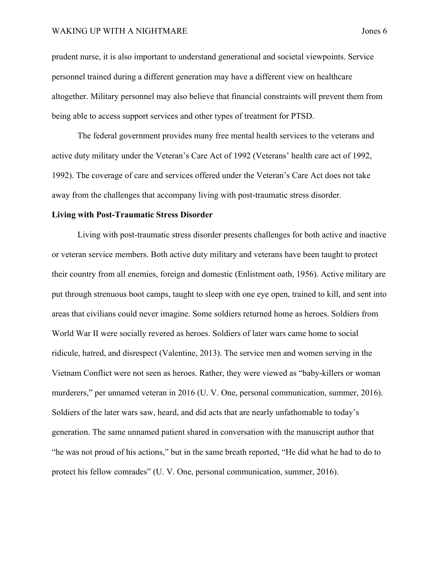#### WAKING UP WITH A NIGHTMARE **SERVICE SERVICE SERVICE SERVICE** SUPPOSE 5

prudent nurse, it is also important to understand generational and societal viewpoints. Service personnel trained during a different generation may have a different view on healthcare altogether. Military personnel may also believe that financial constraints will prevent them from being able to access support services and other types of treatment for PTSD.

The federal government provides many free mental health services to the veterans and active duty military under the Veteran's Care Act of 1992 (Veterans' health care act of 1992, 1992). The coverage of care and services offered under the Veteran's Care Act does not take away from the challenges that accompany living with post-traumatic stress disorder.

#### **Living with Post-Traumatic Stress Disorder**

Living with post-traumatic stress disorder presents challenges for both active and inactive or veteran service members. Both active duty military and veterans have been taught to protect their country from all enemies, foreign and domestic (Enlistment oath, 1956). Active military are put through strenuous boot camps, taught to sleep with one eye open, trained to kill, and sent into areas that civilians could never imagine. Some soldiers returned home as heroes. Soldiers from World War II were socially revered as heroes. Soldiers of later wars came home to social ridicule, hatred, and disrespect (Valentine, 2013). The service men and women serving in the Vietnam Conflict were not seen as heroes. Rather, they were viewed as "baby-killers or woman murderers," per unnamed veteran in 2016 (U. V. One, personal communication, summer, 2016). Soldiers of the later wars saw, heard, and did acts that are nearly unfathomable to today's generation. The same unnamed patient shared in conversation with the manuscript author that "he was not proud of his actions," but in the same breath reported, "He did what he had to do to protect his fellow comrades" (U. V. One, personal communication, summer, 2016).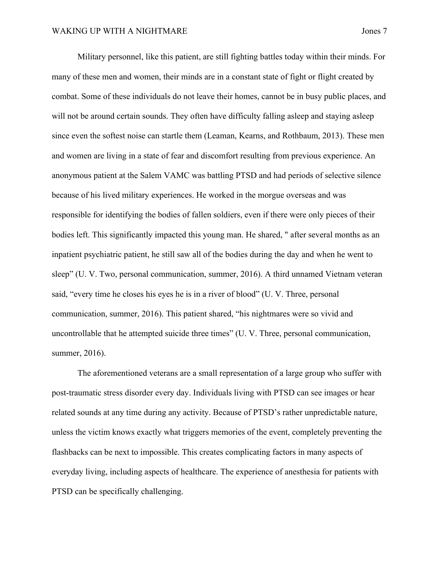Military personnel, like this patient, are still fighting battles today within their minds. For many of these men and women, their minds are in a constant state of fight or flight created by combat. Some of these individuals do not leave their homes, cannot be in busy public places, and will not be around certain sounds. They often have difficulty falling asleep and staying asleep since even the softest noise can startle them (Leaman, Kearns, and Rothbaum, 2013). These men and women are living in a state of fear and discomfort resulting from previous experience. An anonymous patient at the Salem VAMC was battling PTSD and had periods of selective silence because of his lived military experiences. He worked in the morgue overseas and was responsible for identifying the bodies of fallen soldiers, even if there were only pieces of their bodies left. This significantly impacted this young man. He shared, " after several months as an inpatient psychiatric patient, he still saw all of the bodies during the day and when he went to sleep" (U. V. Two, personal communication, summer, 2016). A third unnamed Vietnam veteran said, "every time he closes his eyes he is in a river of blood" (U. V. Three, personal communication, summer, 2016). This patient shared, "his nightmares were so vivid and uncontrollable that he attempted suicide three times" (U. V. Three, personal communication, summer, 2016).

The aforementioned veterans are a small representation of a large group who suffer with post-traumatic stress disorder every day. Individuals living with PTSD can see images or hear related sounds at any time during any activity. Because of PTSD's rather unpredictable nature, unless the victim knows exactly what triggers memories of the event, completely preventing the flashbacks can be next to impossible. This creates complicating factors in many aspects of everyday living, including aspects of healthcare. The experience of anesthesia for patients with PTSD can be specifically challenging.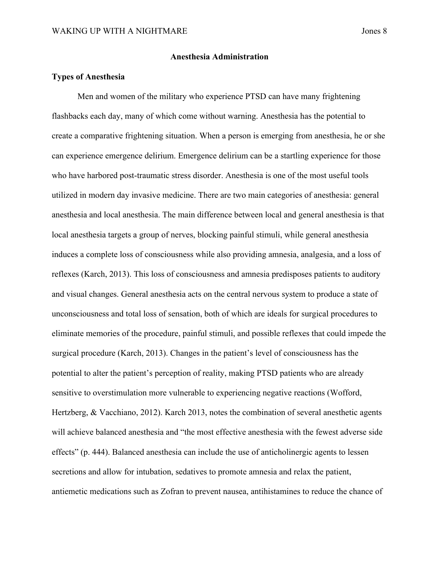## **Anesthesia Administration**

## **Types of Anesthesia**

Men and women of the military who experience PTSD can have many frightening flashbacks each day, many of which come without warning. Anesthesia has the potential to create a comparative frightening situation. When a person is emerging from anesthesia, he or she can experience emergence delirium. Emergence delirium can be a startling experience for those who have harbored post-traumatic stress disorder. Anesthesia is one of the most useful tools utilized in modern day invasive medicine. There are two main categories of anesthesia: general anesthesia and local anesthesia. The main difference between local and general anesthesia is that local anesthesia targets a group of nerves, blocking painful stimuli, while general anesthesia induces a complete loss of consciousness while also providing amnesia, analgesia, and a loss of reflexes (Karch, 2013). This loss of consciousness and amnesia predisposes patients to auditory and visual changes. General anesthesia acts on the central nervous system to produce a state of unconsciousness and total loss of sensation, both of which are ideals for surgical procedures to eliminate memories of the procedure, painful stimuli, and possible reflexes that could impede the surgical procedure (Karch, 2013). Changes in the patient's level of consciousness has the potential to alter the patient's perception of reality, making PTSD patients who are already sensitive to overstimulation more vulnerable to experiencing negative reactions (Wofford, Hertzberg, & Vacchiano, 2012). Karch 2013, notes the combination of several anesthetic agents will achieve balanced anesthesia and "the most effective anesthesia with the fewest adverse side effects" (p. 444). Balanced anesthesia can include the use of anticholinergic agents to lessen secretions and allow for intubation, sedatives to promote amnesia and relax the patient, antiemetic medications such as Zofran to prevent nausea, antihistamines to reduce the chance of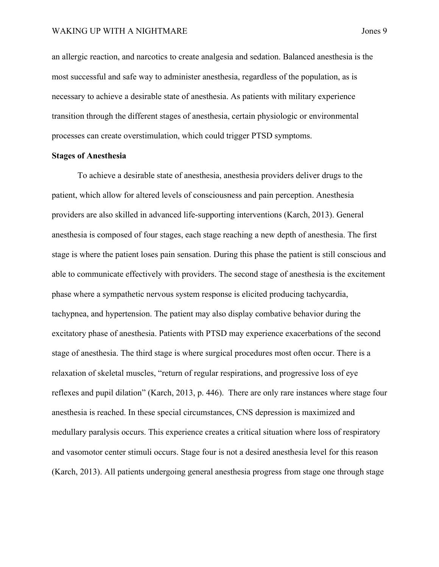an allergic reaction, and narcotics to create analgesia and sedation. Balanced anesthesia is the most successful and safe way to administer anesthesia, regardless of the population, as is necessary to achieve a desirable state of anesthesia. As patients with military experience transition through the different stages of anesthesia, certain physiologic or environmental processes can create overstimulation, which could trigger PTSD symptoms.

#### **Stages of Anesthesia**

To achieve a desirable state of anesthesia, anesthesia providers deliver drugs to the patient, which allow for altered levels of consciousness and pain perception. Anesthesia providers are also skilled in advanced life-supporting interventions (Karch, 2013). General anesthesia is composed of four stages, each stage reaching a new depth of anesthesia. The first stage is where the patient loses pain sensation. During this phase the patient is still conscious and able to communicate effectively with providers. The second stage of anesthesia is the excitement phase where a sympathetic nervous system response is elicited producing tachycardia, tachypnea, and hypertension. The patient may also display combative behavior during the excitatory phase of anesthesia. Patients with PTSD may experience exacerbations of the second stage of anesthesia. The third stage is where surgical procedures most often occur. There is a relaxation of skeletal muscles, "return of regular respirations, and progressive loss of eye reflexes and pupil dilation" (Karch, 2013, p. 446). There are only rare instances where stage four anesthesia is reached. In these special circumstances, CNS depression is maximized and medullary paralysis occurs. This experience creates a critical situation where loss of respiratory and vasomotor center stimuli occurs. Stage four is not a desired anesthesia level for this reason (Karch, 2013). All patients undergoing general anesthesia progress from stage one through stage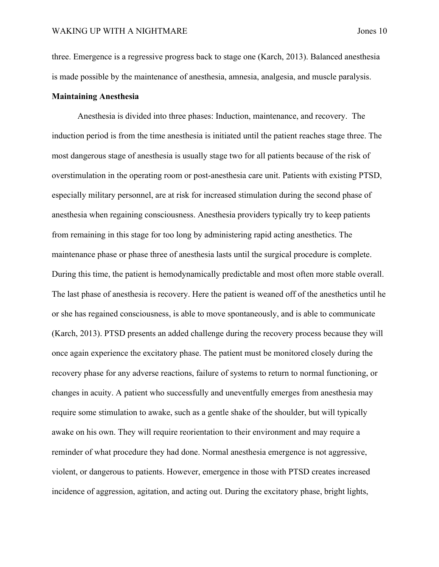three. Emergence is a regressive progress back to stage one (Karch, 2013). Balanced anesthesia is made possible by the maintenance of anesthesia, amnesia, analgesia, and muscle paralysis.

#### **Maintaining Anesthesia**

Anesthesia is divided into three phases: Induction, maintenance, and recovery. The induction period is from the time anesthesia is initiated until the patient reaches stage three. The most dangerous stage of anesthesia is usually stage two for all patients because of the risk of overstimulation in the operating room or post-anesthesia care unit. Patients with existing PTSD, especially military personnel, are at risk for increased stimulation during the second phase of anesthesia when regaining consciousness. Anesthesia providers typically try to keep patients from remaining in this stage for too long by administering rapid acting anesthetics. The maintenance phase or phase three of anesthesia lasts until the surgical procedure is complete. During this time, the patient is hemodynamically predictable and most often more stable overall. The last phase of anesthesia is recovery. Here the patient is weaned off of the anesthetics until he or she has regained consciousness, is able to move spontaneously, and is able to communicate (Karch, 2013). PTSD presents an added challenge during the recovery process because they will once again experience the excitatory phase. The patient must be monitored closely during the recovery phase for any adverse reactions, failure of systems to return to normal functioning, or changes in acuity. A patient who successfully and uneventfully emerges from anesthesia may require some stimulation to awake, such as a gentle shake of the shoulder, but will typically awake on his own. They will require reorientation to their environment and may require a reminder of what procedure they had done. Normal anesthesia emergence is not aggressive, violent, or dangerous to patients. However, emergence in those with PTSD creates increased incidence of aggression, agitation, and acting out. During the excitatory phase, bright lights,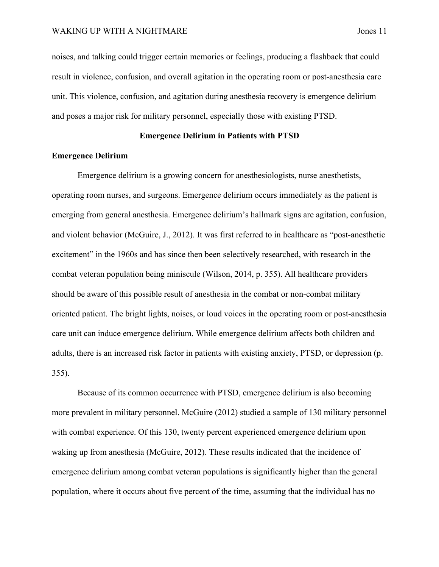noises, and talking could trigger certain memories or feelings, producing a flashback that could result in violence, confusion, and overall agitation in the operating room or post-anesthesia care unit. This violence, confusion, and agitation during anesthesia recovery is emergence delirium and poses a major risk for military personnel, especially those with existing PTSD.

## **Emergence Delirium in Patients with PTSD**

## **Emergence Delirium**

Emergence delirium is a growing concern for anesthesiologists, nurse anesthetists, operating room nurses, and surgeons. Emergence delirium occurs immediately as the patient is emerging from general anesthesia. Emergence delirium's hallmark signs are agitation, confusion, and violent behavior (McGuire, J., 2012). It was first referred to in healthcare as "post-anesthetic excitement" in the 1960s and has since then been selectively researched, with research in the combat veteran population being miniscule (Wilson, 2014, p. 355). All healthcare providers should be aware of this possible result of anesthesia in the combat or non-combat military oriented patient. The bright lights, noises, or loud voices in the operating room or post-anesthesia care unit can induce emergence delirium. While emergence delirium affects both children and adults, there is an increased risk factor in patients with existing anxiety, PTSD, or depression (p. 355).

Because of its common occurrence with PTSD, emergence delirium is also becoming more prevalent in military personnel. McGuire (2012) studied a sample of 130 military personnel with combat experience. Of this 130, twenty percent experienced emergence delirium upon waking up from anesthesia (McGuire, 2012). These results indicated that the incidence of emergence delirium among combat veteran populations is significantly higher than the general population, where it occurs about five percent of the time, assuming that the individual has no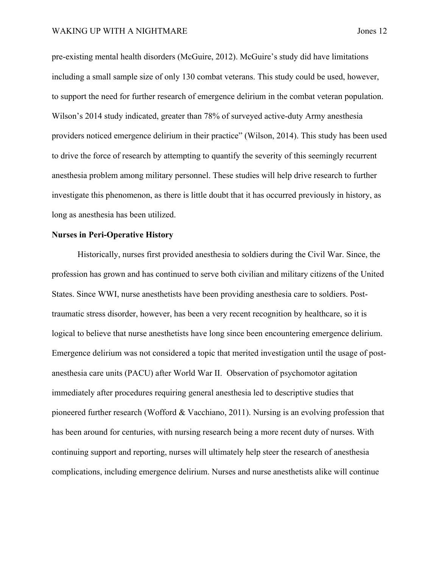pre-existing mental health disorders (McGuire, 2012). McGuire's study did have limitations including a small sample size of only 130 combat veterans. This study could be used, however, to support the need for further research of emergence delirium in the combat veteran population. Wilson's 2014 study indicated, greater than 78% of surveyed active-duty Army anesthesia providers noticed emergence delirium in their practice" (Wilson, 2014). This study has been used to drive the force of research by attempting to quantify the severity of this seemingly recurrent anesthesia problem among military personnel. These studies will help drive research to further investigate this phenomenon, as there is little doubt that it has occurred previously in history, as long as anesthesia has been utilized.

### **Nurses in Peri-Operative History**

Historically, nurses first provided anesthesia to soldiers during the Civil War. Since, the profession has grown and has continued to serve both civilian and military citizens of the United States. Since WWI, nurse anesthetists have been providing anesthesia care to soldiers. Posttraumatic stress disorder, however, has been a very recent recognition by healthcare, so it is logical to believe that nurse anesthetists have long since been encountering emergence delirium. Emergence delirium was not considered a topic that merited investigation until the usage of postanesthesia care units (PACU) after World War II. Observation of psychomotor agitation immediately after procedures requiring general anesthesia led to descriptive studies that pioneered further research (Wofford & Vacchiano, 2011). Nursing is an evolving profession that has been around for centuries, with nursing research being a more recent duty of nurses. With continuing support and reporting, nurses will ultimately help steer the research of anesthesia complications, including emergence delirium. Nurses and nurse anesthetists alike will continue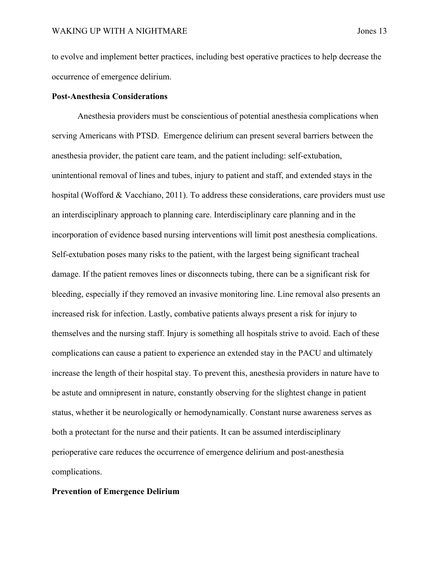to evolve and implement better practices, including best operative practices to help decrease the occurrence of emergence delirium.

## **Post-Anesthesia Considerations**

Anesthesia providers must be conscientious of potential anesthesia complications when serving Americans with PTSD. Emergence delirium can present several barriers between the anesthesia provider, the patient care team, and the patient including: self-extubation, unintentional removal of lines and tubes, injury to patient and staff, and extended stays in the hospital (Wofford & Vacchiano, 2011). To address these considerations, care providers must use an interdisciplinary approach to planning care. Interdisciplinary care planning and in the incorporation of evidence based nursing interventions will limit post anesthesia complications. Self-extubation poses many risks to the patient, with the largest being significant tracheal damage. If the patient removes lines or disconnects tubing, there can be a significant risk for bleeding, especially if they removed an invasive monitoring line. Line removal also presents an increased risk for infection. Lastly, combative patients always present a risk for injury to themselves and the nursing staff. Injury is something all hospitals strive to avoid. Each of these complications can cause a patient to experience an extended stay in the PACU and ultimately increase the length of their hospital stay. To prevent this, anesthesia providers in nature have to be astute and omnipresent in nature, constantly observing for the slightest change in patient status, whether it be neurologically or hemodynamically. Constant nurse awareness serves as both a protectant for the nurse and their patients. It can be assumed interdisciplinary perioperative care reduces the occurrence of emergence delirium and post-anesthesia complications.

## **Prevention of Emergence Delirium**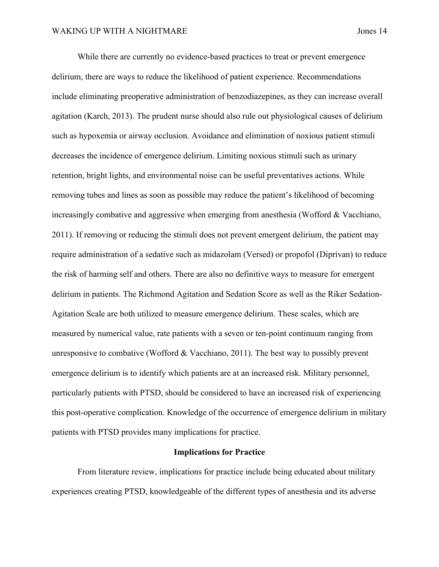While there are currently no evidence-based practices to treat or prevent emergence delirium, there are ways to reduce the likelihood of patient experience. Recommendations include eliminating preoperative administration of benzodiazepines, as they can increase overall agitation (Karch, 2013). The prudent nurse should also rule out physiological causes of delirium such as hypoxemia or airway occlusion. Avoidance and elimination of noxious patient stimuli decreases the incidence of emergence delirium. Limiting noxious stimuli such as urinary retention, bright lights, and environmental noise can be useful preventatives actions. While removing tubes and lines as soon as possible may reduce the patient's likelihood of becoming increasingly combative and aggressive when emerging from anesthesia (Wofford & Vacchiano, 2011). If removing or reducing the stimuli does not prevent emergent delirium, the patient may require administration of a sedative such as midazolam (Versed) or propofol (Diprivan) to reduce the risk of harming self and others. There are also no definitive ways to measure for emergent delirium in patients. The Richmond Agitation and Sedation Score as well as the Riker Sedation-Agitation Scale are both utilized to measure emergence delirium. These scales, which are measured by numerical value, rate patients with a seven or ten-point continuum ranging from unresponsive to combative (Wofford  $&$  Vacchiano, 2011). The best way to possibly prevent emergence delirium is to identify which patients are at an increased risk. Military personnel, particularly patients with PTSD, should be considered to have an increased risk of experiencing this post-operative complication. Knowledge of the occurrence of emergence delirium in military patients with PTSD provides many implications for practice.

#### **Implications for Practice**

From literature review, implications for practice include being educated about military experiences creating PTSD, knowledgeable of the different types of anesthesia and its adverse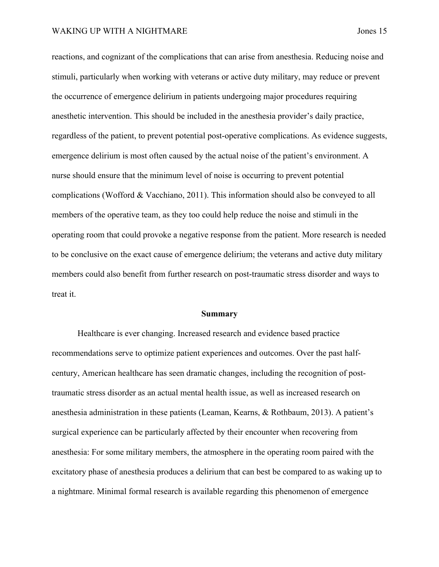reactions, and cognizant of the complications that can arise from anesthesia. Reducing noise and stimuli, particularly when working with veterans or active duty military, may reduce or prevent the occurrence of emergence delirium in patients undergoing major procedures requiring anesthetic intervention. This should be included in the anesthesia provider's daily practice, regardless of the patient, to prevent potential post-operative complications. As evidence suggests, emergence delirium is most often caused by the actual noise of the patient's environment. A nurse should ensure that the minimum level of noise is occurring to prevent potential complications (Wofford & Vacchiano, 2011). This information should also be conveyed to all members of the operative team, as they too could help reduce the noise and stimuli in the operating room that could provoke a negative response from the patient. More research is needed to be conclusive on the exact cause of emergence delirium; the veterans and active duty military members could also benefit from further research on post-traumatic stress disorder and ways to treat it.

#### **Summary**

Healthcare is ever changing. Increased research and evidence based practice recommendations serve to optimize patient experiences and outcomes. Over the past halfcentury, American healthcare has seen dramatic changes, including the recognition of posttraumatic stress disorder as an actual mental health issue, as well as increased research on anesthesia administration in these patients (Leaman, Kearns, & Rothbaum, 2013). A patient's surgical experience can be particularly affected by their encounter when recovering from anesthesia: For some military members, the atmosphere in the operating room paired with the excitatory phase of anesthesia produces a delirium that can best be compared to as waking up to a nightmare. Minimal formal research is available regarding this phenomenon of emergence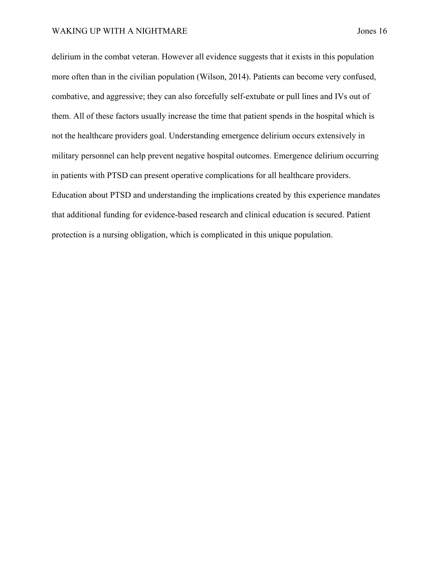delirium in the combat veteran. However all evidence suggests that it exists in this population more often than in the civilian population (Wilson, 2014). Patients can become very confused, combative, and aggressive; they can also forcefully self-extubate or pull lines and IVs out of them. All of these factors usually increase the time that patient spends in the hospital which is not the healthcare providers goal. Understanding emergence delirium occurs extensively in military personnel can help prevent negative hospital outcomes. Emergence delirium occurring in patients with PTSD can present operative complications for all healthcare providers. Education about PTSD and understanding the implications created by this experience mandates that additional funding for evidence-based research and clinical education is secured. Patient protection is a nursing obligation, which is complicated in this unique population.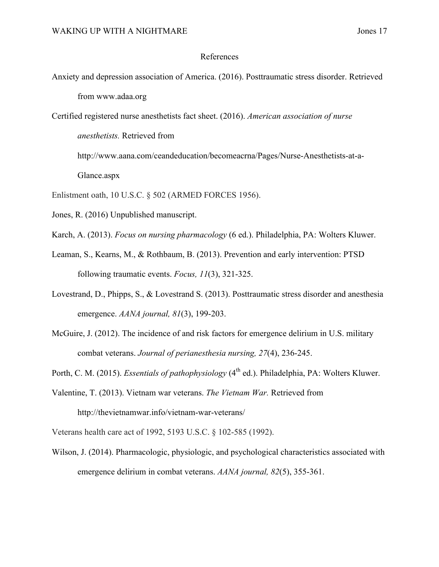## References

- Anxiety and depression association of America. (2016). Posttraumatic stress disorder. Retrieved from www.adaa.org
- Certified registered nurse anesthetists fact sheet. (2016). *American association of nurse*

*anesthetists.* Retrieved from

http://www.aana.com/ceandeducation/becomeacrna/Pages/Nurse-Anesthetists-at-a-

Glance.aspx

- Enlistment oath, 10 U.S.C. § 502 (ARMED FORCES 1956).
- Jones, R. (2016) Unpublished manuscript.
- Karch, A. (2013). *Focus on nursing pharmacology* (6 ed.). Philadelphia, PA: Wolters Kluwer.
- Leaman, S., Kearns, M., & Rothbaum, B. (2013). Prevention and early intervention: PTSD following traumatic events. *Focus, 11*(3), 321-325.
- Lovestrand, D., Phipps, S., & Lovestrand S. (2013). Posttraumatic stress disorder and anesthesia emergence. *AANA journal, 81*(3), 199-203.
- McGuire, J. (2012). The incidence of and risk factors for emergence delirium in U.S. military combat veterans. *Journal of perianesthesia nursing, 27*(4), 236-245.
- Porth, C. M. (2015). *Essentials of pathophysiology* (4<sup>th</sup> ed.). Philadelphia, PA: Wolters Kluwer.
- Valentine, T. (2013). Vietnam war veterans. *The Vietnam War.* Retrieved from http://thevietnamwar.info/vietnam-war-veterans/
- Veterans health care act of 1992, 5193 U.S.C. § 102-585 (1992).
- Wilson, J. (2014). Pharmacologic, physiologic, and psychological characteristics associated with emergence delirium in combat veterans. *AANA journal, 82*(5), 355-361.